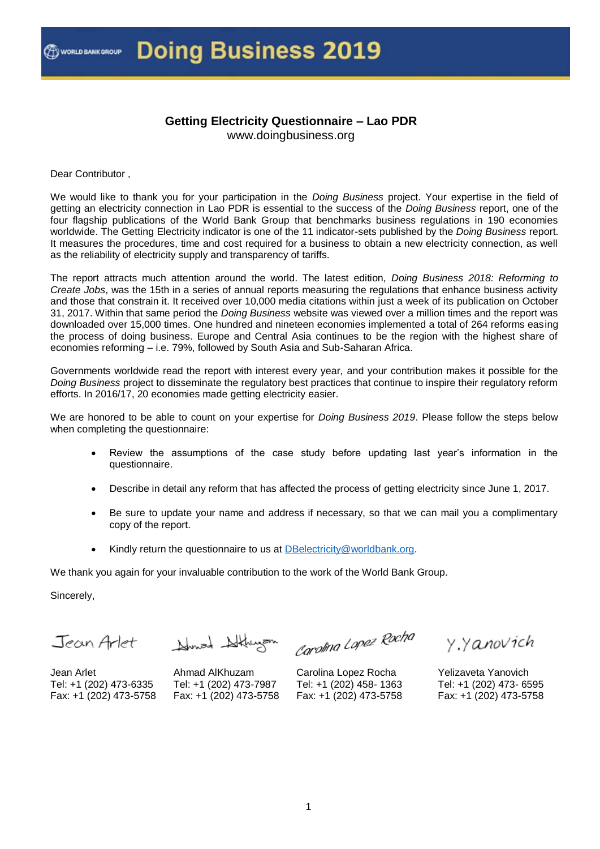#### **Getting Electricity Questionnaire – Lao PDR** www.doingbusiness.org

Dear Contributor ,

We would like to thank you for your participation in the *Doing Business* project. Your expertise in the field of getting an electricity connection in Lao PDR is essential to the success of the *Doing Business* report, one of the four flagship publications of the World Bank Group that benchmarks business regulations in 190 economies worldwide. The Getting Electricity indicator is one of the 11 indicator-sets published by the *Doing Business* report. It measures the procedures, time and cost required for a business to obtain a new electricity connection, as well as the reliability of electricity supply and transparency of tariffs.

The report attracts much attention around the world. The latest edition, *Doing Business 2018: Reforming to Create Jobs*, was the 15th in a series of annual reports measuring the regulations that enhance business activity and those that constrain it. It received over 10,000 media citations within just a week of its publication on October 31, 2017. Within that same period the *Doing Business* website was viewed over a million times and the report was downloaded over 15,000 times. One hundred and nineteen economies implemented a total of 264 reforms easing the process of doing business. Europe and Central Asia continues to be the region with the highest share of economies reforming – i.e. 79%, followed by South Asia and Sub-Saharan Africa.

Governments worldwide read the report with interest every year, and your contribution makes it possible for the *Doing Business* project to disseminate the regulatory best practices that continue to inspire their regulatory reform efforts. In 2016/17, 20 economies made getting electricity easier.

We are honored to be able to count on your expertise for *Doing Business 2019*. Please follow the steps below when completing the questionnaire:

- Review the assumptions of the case study before updating last year's information in the questionnaire.
- Describe in detail any reform that has affected the process of getting electricity since June 1, 2017.
- Be sure to update your name and address if necessary, so that we can mail you a complimentary copy of the report.
- Kindly return the questionnaire to us at [DBelectricity@worldbank.org.](mailto:DBelectricity@worldbank.org)

We thank you again for your invaluable contribution to the work of the World Bank Group.

Sincerely,

Jean Arlet Hunza Althurzon

Carolina Lopez Rocha

y y anovich

Yelizaveta Yanovich Tel: +1 (202) 473- 6595 Fax: +1 (202) 473-5758

Jean Arlet Tel: +1 (202) 473-6335 Fax: +1 (202) 473-5758

Ahmad AlKhuzam Tel: +1 (202) 473-7987 Fax: +1 (202) 473-5758

Carolina Lopez Rocha Tel: +1 (202) 458- 1363 Fax: +1 (202) 473-5758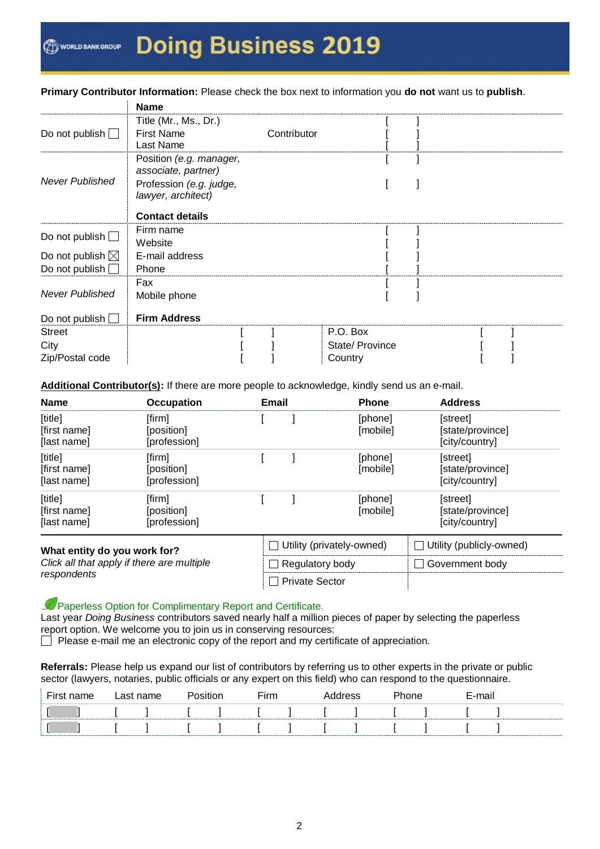**Primary Contributor Information:** Please check the box next to information you **do not** want us to **publish**.

|                                                     | <b>Name</b>                                                                                                               |             |                 |  |  |
|-----------------------------------------------------|---------------------------------------------------------------------------------------------------------------------------|-------------|-----------------|--|--|
| Do not publish $\Box$                               | Title (Mr., Ms., Dr.)<br><b>First Name</b><br>Last Name                                                                   | Contributor |                 |  |  |
| <b>Never Published</b>                              | Position (e.g. manager,<br>associate, partner)<br>Profession (e.g. judge,<br>lawyer, architect)<br><b>Contact details</b> |             |                 |  |  |
|                                                     | Firm name                                                                                                                 |             |                 |  |  |
| Do not publish $\Box$                               | Website                                                                                                                   |             |                 |  |  |
| Do not publish $\boxtimes$<br>Do not publish $\Box$ | E-mail address<br>Phone                                                                                                   |             |                 |  |  |
| <b>Never Published</b>                              | Fax<br>Mobile phone                                                                                                       |             |                 |  |  |
| Do not publish $\Box$                               | <b>Firm Address</b>                                                                                                       |             |                 |  |  |
| <b>Street</b>                                       |                                                                                                                           |             | P.O. Box        |  |  |
| City                                                |                                                                                                                           |             | State/ Province |  |  |
| Zip/Postal code                                     |                                                                                                                           |             | Country         |  |  |

Additional Contributor(s): If there are more people to acknowledge, kindly send us an e-mail.

| <b>Name</b>                                                                               | <b>Occupation</b>                    | <b>Email</b> |                           | <b>Phone</b>        | <b>Address</b>                                 |  |
|-------------------------------------------------------------------------------------------|--------------------------------------|--------------|---------------------------|---------------------|------------------------------------------------|--|
| [title]<br>[first name]<br>[last name]                                                    | [firm]<br>[position]<br>[profession] |              |                           | [phone]<br>[mobile] | [street]<br>[state/province]<br>[city/country] |  |
| [title]<br>[first name]<br>[last name]                                                    | [firm]<br>[position]<br>[profession] |              |                           | [phone]<br>[mobile] | [street]<br>[state/province]<br>[city/country] |  |
| [title]<br>[first name]<br>[last name]                                                    | [firm]<br>[position]<br>[profession] |              |                           | [phone]<br>[mobile] | [street]<br>[state/province]<br>[city/country] |  |
| What entity do you work for?<br>Click all that apply if there are multiple<br>respondents |                                      |              | Utility (privately-owned) |                     | Utility (publicly-owned)<br>$\perp$            |  |
|                                                                                           |                                      |              | Regulatory body           |                     | Government body<br>$\blacksquare$              |  |
|                                                                                           |                                      |              | <b>Private Sector</b>     |                     |                                                |  |

Paperless Option for Complimentary Report and Certificate.

Last year *Doing Business* contributors saved nearly half a million pieces of paper by selecting the paperless report option. We welcome you to join us in conserving resources:

 $\Box$  Please e-mail me an electronic copy of the report and my certificate of appreciation.

**Referrals:** Please help us expand our list of contributors by referring us to other experts in the private or public sector (lawyers, notaries, public officials or any expert on this field) who can respond to the questionnaire.

| $- \cdot$ | ാല | name |  | $\mathsf{F}$ irm |  |  | E-mail |  |
|-----------|----|------|--|------------------|--|--|--------|--|
|           |    |      |  |                  |  |  |        |  |
|           |    |      |  |                  |  |  |        |  |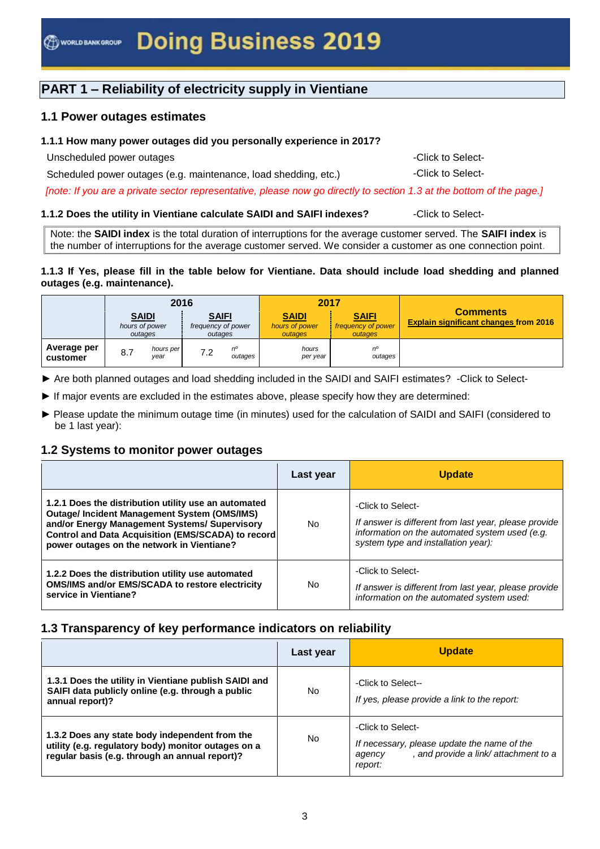# **PART 1 – Reliability of electricity supply in Vientiane**

## **1.1 Power outages estimates**

#### **1.1.1 How many power outages did you personally experience in 2017?**

Unscheduled power outages  $\sim$  Click to Select-

Scheduled power outages (e.g. maintenance, load shedding, etc.) - -Click to Select-

*[note: If you are a private sector representative, please now go directly to section 1.3 at the bottom of the page.]*

#### **1.1.2 Does the utility in Vientiane calculate SAIDI and SAIFI indexes?** -Click to Select-

Note: the **SAIDI index** is the total duration of interruptions for the average customer served. The **SAIFI index** is the number of interruptions for the average customer served. We consider a customer as one connection point.

#### **1.1.3 If Yes, please fill in the table below for Vientiane. Data should include load shedding and planned outages (e.g. maintenance).**

|                         |     | 2016                                      |                                               |               | 2017                                                                                       |               |                                                                 |
|-------------------------|-----|-------------------------------------------|-----------------------------------------------|---------------|--------------------------------------------------------------------------------------------|---------------|-----------------------------------------------------------------|
|                         |     | <b>SAIDI</b><br>hours of power<br>outages | <b>SAIFI</b><br>frequency of power<br>outages |               | <b>SAIDI</b><br><b>SAIFI</b><br>hours of power<br>frequency of power<br>outages<br>outages |               | <b>Comments</b><br><b>Explain significant changes from 2016</b> |
| Average per<br>customer | 8.7 | hours per<br>year                         | 7.2                                           | п°<br>outages | hours<br>per year                                                                          | no<br>outages |                                                                 |

► Are both planned outages and load shedding included in the SAIDI and SAIFI estimates? -Click to Select-

- ► If major events are excluded in the estimates above, please specify how they are determined:
- ► Please update the minimum outage time (in minutes) used for the calculation of SAIDI and SAIFI (considered to be 1 last year):

#### **1.2 Systems to monitor power outages**

|                                                                                                                                                                                                                                                                 | Last year      | <b>Update</b>                                                                                                                                                       |
|-----------------------------------------------------------------------------------------------------------------------------------------------------------------------------------------------------------------------------------------------------------------|----------------|---------------------------------------------------------------------------------------------------------------------------------------------------------------------|
| 1.2.1 Does the distribution utility use an automated<br><b>Outage/Incident Management System (OMS/IMS)</b><br>and/or Energy Management Systems/ Supervisory<br>Control and Data Acquisition (EMS/SCADA) to record<br>power outages on the network in Vientiane? | No             | -Click to Select-<br>If answer is different from last year, please provide<br>information on the automated system used (e.g.<br>system type and installation year): |
| 1.2.2 Does the distribution utility use automated<br>OMS/IMS and/or EMS/SCADA to restore electricity<br>service in Vientiane?                                                                                                                                   | N <sub>o</sub> | -Click to Select-<br>If answer is different from last year, please provide<br>information on the automated system used:                                             |

## **1.3 Transparency of key performance indicators on reliability**

|                                                                                                                                                         | Last year | <b>Update</b>                                                                                                                 |
|---------------------------------------------------------------------------------------------------------------------------------------------------------|-----------|-------------------------------------------------------------------------------------------------------------------------------|
| 1.3.1 Does the utility in Vientiane publish SAIDI and<br>SAIFI data publicly online (e.g. through a public<br>annual report)?                           | No        | -Click to Select--<br>If yes, please provide a link to the report:                                                            |
| 1.3.2 Does any state body independent from the<br>utility (e.g. regulatory body) monitor outages on a<br>regular basis (e.g. through an annual report)? | No        | -Click to Select-<br>If necessary, please update the name of the<br>, and provide a link/attachment to a<br>agency<br>report: |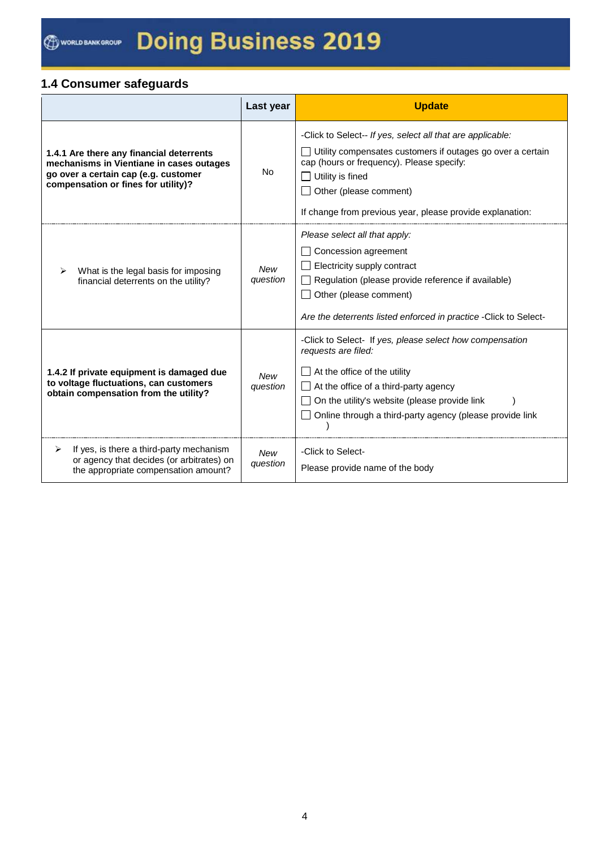# **1.4 Consumer safeguards**

|                                                                                                                                                                     | Last year              | <b>Update</b>                                                                                                                                                                                                                                                                    |
|---------------------------------------------------------------------------------------------------------------------------------------------------------------------|------------------------|----------------------------------------------------------------------------------------------------------------------------------------------------------------------------------------------------------------------------------------------------------------------------------|
| 1.4.1 Are there any financial deterrents<br>mechanisms in Vientiane in cases outages<br>go over a certain cap (e.g. customer<br>compensation or fines for utility)? | <b>No</b>              | -Click to Select-- If yes, select all that are applicable:<br>Utility compensates customers if outages go over a certain<br>cap (hours or frequency). Please specify:<br>Utility is fined<br>Other (please comment)<br>If change from previous year, please provide explanation: |
| What is the legal basis for imposing<br>financial deterrents on the utility?                                                                                        | <b>New</b><br>question | Please select all that apply:<br>Concession agreement<br>Electricity supply contract<br>Regulation (please provide reference if available)<br>Other (please comment)<br>Are the deterrents listed enforced in practice - Click to Select-                                        |
| 1.4.2 If private equipment is damaged due<br>to voltage fluctuations, can customers<br>obtain compensation from the utility?                                        | <b>New</b><br>question | -Click to Select- If yes, please select how compensation<br>requests are filed:<br>At the office of the utility<br>At the office of a third-party agency<br>On the utility's website (please provide link<br>Online through a third-party agency (please provide link            |
| If yes, is there a third-party mechanism<br>⋗<br>or agency that decides (or arbitrates) on<br>the appropriate compensation amount?                                  | New<br>question        | -Click to Select-<br>Please provide name of the body                                                                                                                                                                                                                             |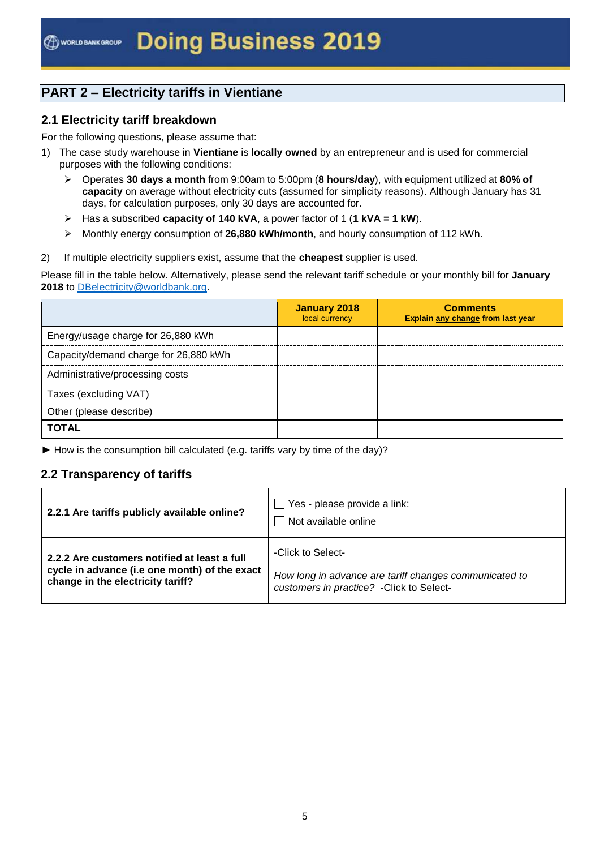# **PART 2 – Electricity tariffs in Vientiane**

### **2.1 Electricity tariff breakdown**

For the following questions, please assume that:

- 1) The case study warehouse in **Vientiane** is **locally owned** by an entrepreneur and is used for commercial purposes with the following conditions:
	- Operates **30 days a month** from 9:00am to 5:00pm (**8 hours/day**), with equipment utilized at **80% of capacity** on average without electricity cuts (assumed for simplicity reasons). Although January has 31 days, for calculation purposes, only 30 days are accounted for.
	- Has a subscribed **capacity of 140 kVA**, a power factor of 1 (**1 kVA = 1 kW**).
	- Monthly energy consumption of **26,880 kWh/month**, and hourly consumption of 112 kWh.
- 2) If multiple electricity suppliers exist, assume that the **cheapest** supplier is used.

Please fill in the table below. Alternatively, please send the relevant tariff schedule or your monthly bill for **January** 2018 to **DBelectricity@worldbank.org**.

|                                       | <b>January 2018</b><br>local currency | <b>Comments</b><br>Explain any change from last year |
|---------------------------------------|---------------------------------------|------------------------------------------------------|
| Energy/usage charge for 26,880 kWh    |                                       |                                                      |
| Capacity/demand charge for 26,880 kWh |                                       |                                                      |
| Administrative/processing costs       |                                       |                                                      |
| Taxes (excluding VAT)                 |                                       |                                                      |
| Other (please describe)               |                                       |                                                      |
| <b>TOTAL</b>                          |                                       |                                                      |

► How is the consumption bill calculated (e.g. tariffs vary by time of the day)?

## **2.2 Transparency of tariffs**

| 2.2.1 Are tariffs publicly available online?  | Yes - please provide a link:<br>Not available online   |
|-----------------------------------------------|--------------------------------------------------------|
| 2.2.2 Are customers notified at least a full  | -Click to Select-                                      |
| cycle in advance (i.e one month) of the exact | How long in advance are tariff changes communicated to |
| change in the electricity tariff?             | customers in practice? - Click to Select-              |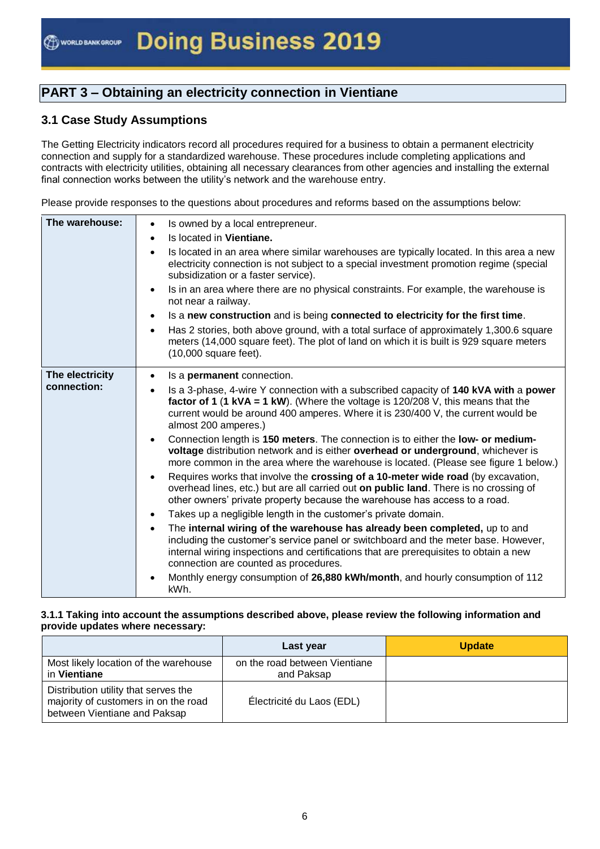# **PART 3 – Obtaining an electricity connection in Vientiane**

# **3.1 Case Study Assumptions**

The Getting Electricity indicators record all procedures required for a business to obtain a permanent electricity connection and supply for a standardized warehouse. These procedures include completing applications and contracts with electricity utilities, obtaining all necessary clearances from other agencies and installing the external final connection works between the utility's network and the warehouse entry.

Please provide responses to the questions about procedures and reforms based on the assumptions below:

| The warehouse:                 | Is owned by a local entrepreneur.<br>$\bullet$<br>Is located in <b>Vientiane.</b><br>$\bullet$<br>Is located in an area where similar warehouses are typically located. In this area a new<br>electricity connection is not subject to a special investment promotion regime (special<br>subsidization or a faster service).<br>Is in an area where there are no physical constraints. For example, the warehouse is<br>$\bullet$<br>not near a railway.<br>Is a new construction and is being connected to electricity for the first time.<br>$\bullet$<br>Has 2 stories, both above ground, with a total surface of approximately 1,300.6 square<br>$\bullet$<br>meters (14,000 square feet). The plot of land on which it is built is 929 square meters<br>$(10,000$ square feet).                                                                                                                                                                                                                                                                                                                                                                                                                                                                                                                                                                                                    |
|--------------------------------|------------------------------------------------------------------------------------------------------------------------------------------------------------------------------------------------------------------------------------------------------------------------------------------------------------------------------------------------------------------------------------------------------------------------------------------------------------------------------------------------------------------------------------------------------------------------------------------------------------------------------------------------------------------------------------------------------------------------------------------------------------------------------------------------------------------------------------------------------------------------------------------------------------------------------------------------------------------------------------------------------------------------------------------------------------------------------------------------------------------------------------------------------------------------------------------------------------------------------------------------------------------------------------------------------------------------------------------------------------------------------------------|
| The electricity<br>connection: | Is a <b>permanent</b> connection.<br>$\bullet$<br>Is a 3-phase, 4-wire Y connection with a subscribed capacity of 140 kVA with a power<br>factor of 1 (1 kVA = 1 kW). (Where the voltage is $120/208$ V, this means that the<br>current would be around 400 amperes. Where it is 230/400 V, the current would be<br>almost 200 amperes.)<br>Connection length is 150 meters. The connection is to either the low- or medium-<br>$\bullet$<br>voltage distribution network and is either overhead or underground, whichever is<br>more common in the area where the warehouse is located. (Please see figure 1 below.)<br>Requires works that involve the crossing of a 10-meter wide road (by excavation,<br>$\bullet$<br>overhead lines, etc.) but are all carried out on public land. There is no crossing of<br>other owners' private property because the warehouse has access to a road.<br>Takes up a negligible length in the customer's private domain.<br>$\bullet$<br>The internal wiring of the warehouse has already been completed, up to and<br>$\bullet$<br>including the customer's service panel or switchboard and the meter base. However,<br>internal wiring inspections and certifications that are prerequisites to obtain a new<br>connection are counted as procedures.<br>Monthly energy consumption of 26,880 kWh/month, and hourly consumption of 112<br>kWh. |

#### **3.1.1 Taking into account the assumptions described above, please review the following information and provide updates where necessary:**

|                                                                                                              | Last year                                   | <b>Update</b> |
|--------------------------------------------------------------------------------------------------------------|---------------------------------------------|---------------|
| Most likely location of the warehouse<br>in Vientiane                                                        | on the road between Vientiane<br>and Paksap |               |
| Distribution utility that serves the<br>majority of customers in on the road<br>between Vientiane and Paksap | Électricité du Laos (EDL)                   |               |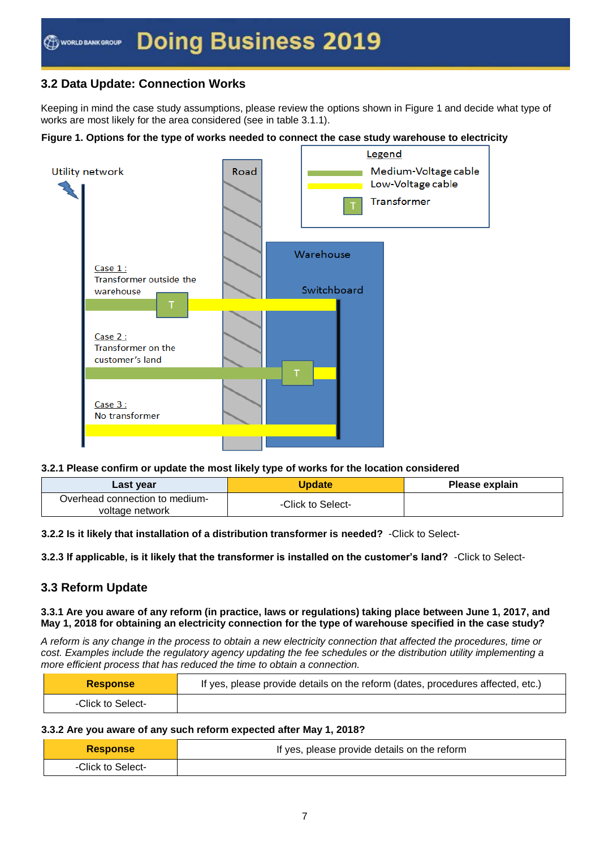# **3.2 Data Update: Connection Works**

Keeping in mind the case study assumptions, please review the options shown in Figure 1 and decide what type of works are most likely for the area considered (see in table 3.1.1).

#### **Figure 1. Options for the type of works needed to connect the case study warehouse to electricity**



#### **3.2.1 Please confirm or update the most likely type of works for the location considered**

| Last year                                         | <b>Update</b>     | Please explain |
|---------------------------------------------------|-------------------|----------------|
| Overhead connection to medium-<br>voltage network | -Click to Select- |                |

**3.2.2 Is it likely that installation of a distribution transformer is needed?** -Click to Select-

#### **3.2.3 If applicable, is it likely that the transformer is installed on the customer's land?** -Click to Select-

## **3.3 Reform Update**

#### **3.3.1 Are you aware of any reform (in practice, laws or regulations) taking place between June 1, 2017, and May 1, 2018 for obtaining an electricity connection for the type of warehouse specified in the case study?**

*A reform is any change in the process to obtain a new electricity connection that affected the procedures, time or cost. Examples include the regulatory agency updating the fee schedules or the distribution utility implementing a more efficient process that has reduced the time to obtain a connection.*

| <b>Response</b>   | If yes, please provide details on the reform (dates, procedures affected, etc.) |
|-------------------|---------------------------------------------------------------------------------|
| -Click to Select- |                                                                                 |

#### **3.3.2 Are you aware of any such reform expected after May 1, 2018?**

| <b>Response</b>   | If yes, please provide details on the reform |  |
|-------------------|----------------------------------------------|--|
| -Click to Select- |                                              |  |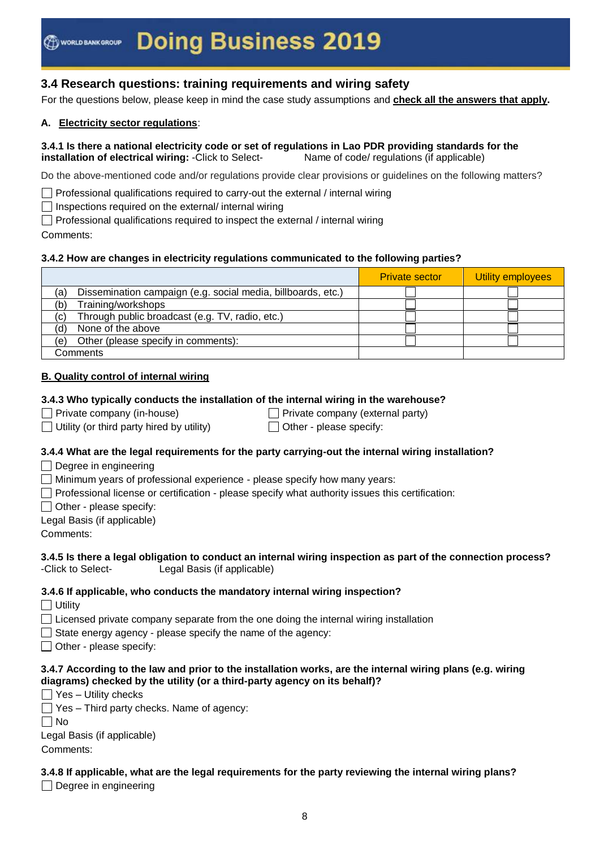# **3.4 Research questions: training requirements and wiring safety**

For the questions below, please keep in mind the case study assumptions and **check all the answers that apply.**

#### **A. Electricity sector regulations**:

#### **3.4.1 Is there a national electricity code or set of regulations in Lao PDR providing standards for the installation of electrical wiring:** -Click to Select- Name of code/ regulations (if applicable)

Do the above-mentioned code and/or regulations provide clear provisions or guidelines on the following matters?

 $\Box$  Professional qualifications required to carry-out the external / internal wiring

 $\Box$  Inspections required on the external/ internal wiring

 $\Box$  Professional qualifications required to inspect the external / internal wiring

Comments:

#### **3.4.2 How are changes in electricity regulations communicated to the following parties?**

|                                                                     | <b>Private sector</b> | Utility employees |
|---------------------------------------------------------------------|-----------------------|-------------------|
| Dissemination campaign (e.g. social media, billboards, etc.)<br>(a) |                       |                   |
| Training/workshops<br>(b)                                           |                       |                   |
| Through public broadcast (e.g. TV, radio, etc.)<br>(c)              |                       |                   |
| None of the above<br>(d)                                            |                       |                   |
| Other (please specify in comments):<br>(e)                          |                       |                   |
| Comments                                                            |                       |                   |

#### **B. Quality control of internal wiring**

#### **3.4.3 Who typically conducts the installation of the internal wiring in the warehouse?**

 $\Box$  Private company (in-house)  $\Box$  Private company (external party)

 $\Box$  Utility (or third party hired by utility)  $\Box$  Other - please specify:

#### **3.4.4 What are the legal requirements for the party carrying-out the internal wiring installation?**

 $\Box$  Degree in engineering

Minimum years of professional experience - please specify how many years:

 $\Box$  Professional license or certification - please specify what authority issues this certification:

 $\Box$  Other - please specify:

Legal Basis (if applicable)

Comments:

#### **3.4.5 Is there a legal obligation to conduct an internal wiring inspection as part of the connection process?**  -Click to Select- Legal Basis (if applicable)

#### **3.4.6 If applicable, who conducts the mandatory internal wiring inspection?**

Utility

 $\Box$  Licensed private company separate from the one doing the internal wiring installation

 $\Box$  State energy agency - please specify the name of the agency:

 $\Box$  Other - please specify:

#### **3.4.7 According to the law and prior to the installation works, are the internal wiring plans (e.g. wiring diagrams) checked by the utility (or a third-party agency on its behalf)?**

- $\Box$  Yes Utility checks
- $\Box$  Yes Third party checks. Name of agency:

 $\Box$  No

Legal Basis (if applicable)

Comments:

## **3.4.8 If applicable, what are the legal requirements for the party reviewing the internal wiring plans?**

 $\Box$  Degree in engineering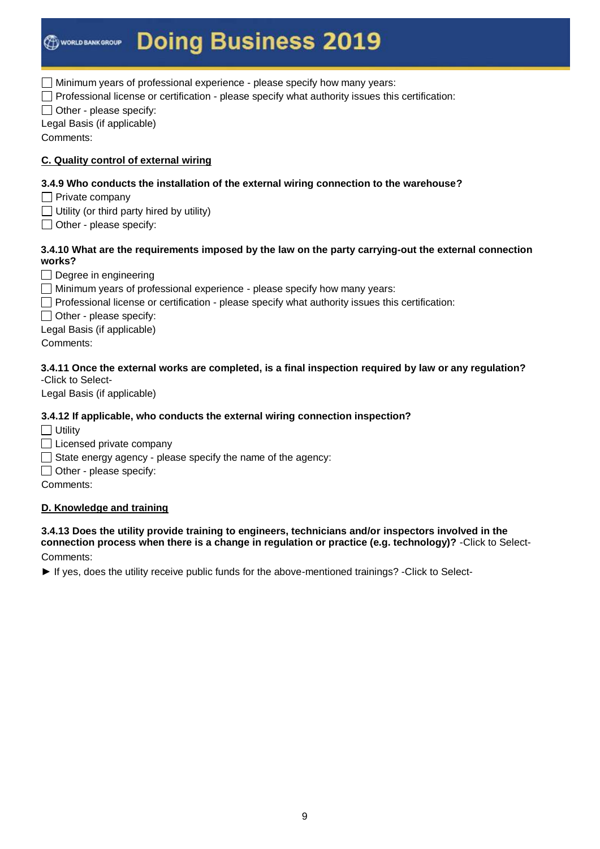$\Box$  Minimum years of professional experience - please specify how many years:

 $\Box$  Professional license or certification - please specify what authority issues this certification:

 $\Box$  Other - please specify:

Legal Basis (if applicable)

Comments:

### **C. Quality control of external wiring**

### **3.4.9 Who conducts the installation of the external wiring connection to the warehouse?**

- $\Box$  Private company
- $\Box$  Utility (or third party hired by utility)
- $\Box$  Other please specify:

#### **3.4.10 What are the requirements imposed by the law on the party carrying-out the external connection works?**

Degree in engineering

- Minimum years of professional experience please specify how many years:
- $\Box$  Professional license or certification please specify what authority issues this certification:

 $\Box$  Other - please specify:

Legal Basis (if applicable)

Comments:

#### **3.4.11 Once the external works are completed, is a final inspection required by law or any regulation?**  -Click to Select-

Legal Basis (if applicable)

#### **3.4.12 If applicable, who conducts the external wiring connection inspection?**

 $\Box$  Utility

 $\Box$  Licensed private company

 $\Box$  State energy agency - please specify the name of the agency:

 $\Box$  Other - please specify:

Comments:

#### **D. Knowledge and training**

#### **3.4.13 Does the utility provide training to engineers, technicians and/or inspectors involved in the connection process when there is a change in regulation or practice (e.g. technology)?** -Click to Select-Comments:

► If yes, does the utility receive public funds for the above-mentioned trainings? -Click to Select-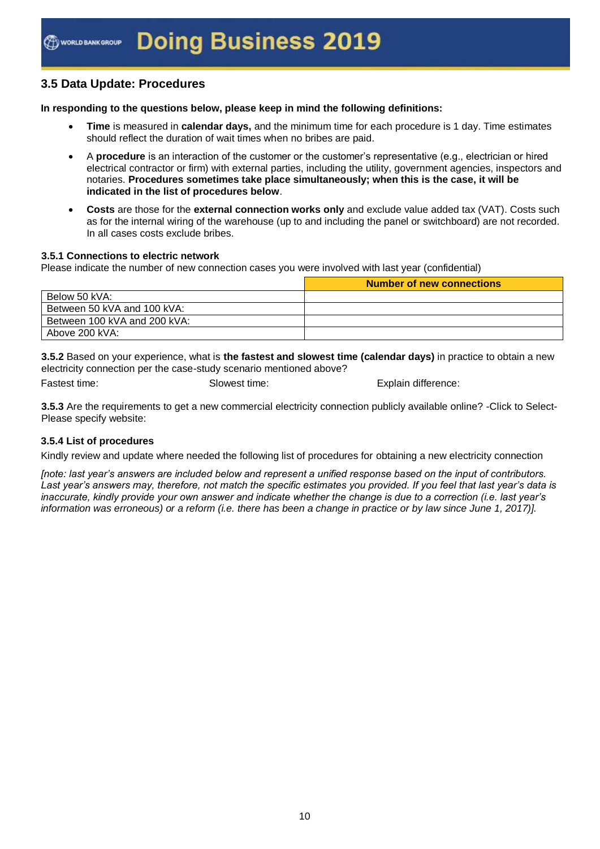# **3.5 Data Update: Procedures**

#### **In responding to the questions below, please keep in mind the following definitions:**

- **Time** is measured in **calendar days,** and the minimum time for each procedure is 1 day. Time estimates should reflect the duration of wait times when no bribes are paid.
- A **procedure** is an interaction of the customer or the customer's representative (e.g., electrician or hired electrical contractor or firm) with external parties, including the utility, government agencies, inspectors and notaries. **Procedures sometimes take place simultaneously; when this is the case, it will be indicated in the list of procedures below**.
- **Costs** are those for the **external connection works only** and exclude value added tax (VAT). Costs such as for the internal wiring of the warehouse (up to and including the panel or switchboard) are not recorded. In all cases costs exclude bribes.

#### **3.5.1 Connections to electric network**

Please indicate the number of new connection cases you were involved with last year (confidential)

|                              | <b>Number of new connections</b> |
|------------------------------|----------------------------------|
| Below 50 kVA:                |                                  |
| Between 50 kVA and 100 kVA:  |                                  |
| Between 100 kVA and 200 kVA: |                                  |
| Above 200 kVA:               |                                  |

**3.5.2** Based on your experience, what is **the fastest and slowest time (calendar days)** in practice to obtain a new electricity connection per the case-study scenario mentioned above?

Fastest time: Explain difference: Slowest time: Explain difference:

**3.5.3** Are the requirements to get a new commercial electricity connection publicly available online? -Click to Select-Please specify website:

#### **3.5.4 List of procedures**

Kindly review and update where needed the following list of procedures for obtaining a new electricity connection

*[note: last year's answers are included below and represent a unified response based on the input of contributors. Last year's answers may, therefore, not match the specific estimates you provided. If you feel that last year's data is inaccurate, kindly provide your own answer and indicate whether the change is due to a correction (i.e. last year's information was erroneous) or a reform (i.e. there has been a change in practice or by law since June 1, 2017)].*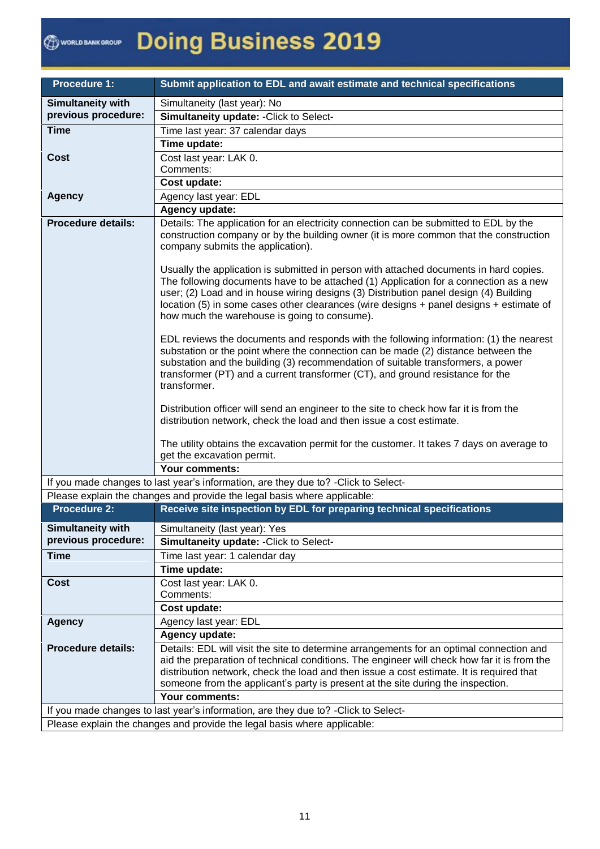| <b>Procedure 1:</b>                             | Submit application to EDL and await estimate and technical specifications                                                                                                                                                                                                                                                                                                                                                                                                                                                                                                                                                                                                                                                                                                                                                                                                                                                                                                                                                                                                                                                                                                          |  |  |
|-------------------------------------------------|------------------------------------------------------------------------------------------------------------------------------------------------------------------------------------------------------------------------------------------------------------------------------------------------------------------------------------------------------------------------------------------------------------------------------------------------------------------------------------------------------------------------------------------------------------------------------------------------------------------------------------------------------------------------------------------------------------------------------------------------------------------------------------------------------------------------------------------------------------------------------------------------------------------------------------------------------------------------------------------------------------------------------------------------------------------------------------------------------------------------------------------------------------------------------------|--|--|
| <b>Simultaneity with</b>                        | Simultaneity (last year): No                                                                                                                                                                                                                                                                                                                                                                                                                                                                                                                                                                                                                                                                                                                                                                                                                                                                                                                                                                                                                                                                                                                                                       |  |  |
| previous procedure:                             | Simultaneity update: - Click to Select-                                                                                                                                                                                                                                                                                                                                                                                                                                                                                                                                                                                                                                                                                                                                                                                                                                                                                                                                                                                                                                                                                                                                            |  |  |
| <b>Time</b>                                     | Time last year: 37 calendar days                                                                                                                                                                                                                                                                                                                                                                                                                                                                                                                                                                                                                                                                                                                                                                                                                                                                                                                                                                                                                                                                                                                                                   |  |  |
|                                                 | Time update:                                                                                                                                                                                                                                                                                                                                                                                                                                                                                                                                                                                                                                                                                                                                                                                                                                                                                                                                                                                                                                                                                                                                                                       |  |  |
| <b>Cost</b>                                     | Cost last year: LAK 0.                                                                                                                                                                                                                                                                                                                                                                                                                                                                                                                                                                                                                                                                                                                                                                                                                                                                                                                                                                                                                                                                                                                                                             |  |  |
|                                                 | Comments:                                                                                                                                                                                                                                                                                                                                                                                                                                                                                                                                                                                                                                                                                                                                                                                                                                                                                                                                                                                                                                                                                                                                                                          |  |  |
|                                                 | Cost update:                                                                                                                                                                                                                                                                                                                                                                                                                                                                                                                                                                                                                                                                                                                                                                                                                                                                                                                                                                                                                                                                                                                                                                       |  |  |
| <b>Agency</b>                                   | Agency last year: EDL                                                                                                                                                                                                                                                                                                                                                                                                                                                                                                                                                                                                                                                                                                                                                                                                                                                                                                                                                                                                                                                                                                                                                              |  |  |
|                                                 | Agency update:                                                                                                                                                                                                                                                                                                                                                                                                                                                                                                                                                                                                                                                                                                                                                                                                                                                                                                                                                                                                                                                                                                                                                                     |  |  |
| <b>Procedure details:</b>                       | Details: The application for an electricity connection can be submitted to EDL by the<br>construction company or by the building owner (it is more common that the construction<br>company submits the application).<br>Usually the application is submitted in person with attached documents in hard copies.<br>The following documents have to be attached (1) Application for a connection as a new<br>user; (2) Load and in house wiring designs (3) Distribution panel design (4) Building<br>location (5) in some cases other clearances (wire designs + panel designs + estimate of<br>how much the warehouse is going to consume).<br>EDL reviews the documents and responds with the following information: (1) the nearest<br>substation or the point where the connection can be made (2) distance between the<br>substation and the building (3) recommendation of suitable transformers, a power<br>transformer (PT) and a current transformer (CT), and ground resistance for the<br>transformer.<br>Distribution officer will send an engineer to the site to check how far it is from the<br>distribution network, check the load and then issue a cost estimate. |  |  |
|                                                 | The utility obtains the excavation permit for the customer. It takes 7 days on average to<br>get the excavation permit.                                                                                                                                                                                                                                                                                                                                                                                                                                                                                                                                                                                                                                                                                                                                                                                                                                                                                                                                                                                                                                                            |  |  |
|                                                 | <b>Your comments:</b>                                                                                                                                                                                                                                                                                                                                                                                                                                                                                                                                                                                                                                                                                                                                                                                                                                                                                                                                                                                                                                                                                                                                                              |  |  |
|                                                 | If you made changes to last year's information, are they due to? - Click to Select-                                                                                                                                                                                                                                                                                                                                                                                                                                                                                                                                                                                                                                                                                                                                                                                                                                                                                                                                                                                                                                                                                                |  |  |
|                                                 | Please explain the changes and provide the legal basis where applicable:                                                                                                                                                                                                                                                                                                                                                                                                                                                                                                                                                                                                                                                                                                                                                                                                                                                                                                                                                                                                                                                                                                           |  |  |
| <b>Procedure 2:</b>                             | Receive site inspection by EDL for preparing technical specifications                                                                                                                                                                                                                                                                                                                                                                                                                                                                                                                                                                                                                                                                                                                                                                                                                                                                                                                                                                                                                                                                                                              |  |  |
|                                                 |                                                                                                                                                                                                                                                                                                                                                                                                                                                                                                                                                                                                                                                                                                                                                                                                                                                                                                                                                                                                                                                                                                                                                                                    |  |  |
| <b>Simultaneity with</b><br>previous procedure: | Simultaneity (last year): Yes                                                                                                                                                                                                                                                                                                                                                                                                                                                                                                                                                                                                                                                                                                                                                                                                                                                                                                                                                                                                                                                                                                                                                      |  |  |
| <b>Time</b>                                     | Simultaneity update: - Click to Select-                                                                                                                                                                                                                                                                                                                                                                                                                                                                                                                                                                                                                                                                                                                                                                                                                                                                                                                                                                                                                                                                                                                                            |  |  |
|                                                 | Time last year: 1 calendar day<br>Time update:                                                                                                                                                                                                                                                                                                                                                                                                                                                                                                                                                                                                                                                                                                                                                                                                                                                                                                                                                                                                                                                                                                                                     |  |  |
| Cost                                            | Cost last year: LAK 0.                                                                                                                                                                                                                                                                                                                                                                                                                                                                                                                                                                                                                                                                                                                                                                                                                                                                                                                                                                                                                                                                                                                                                             |  |  |
|                                                 | Comments:                                                                                                                                                                                                                                                                                                                                                                                                                                                                                                                                                                                                                                                                                                                                                                                                                                                                                                                                                                                                                                                                                                                                                                          |  |  |
|                                                 | Cost update:                                                                                                                                                                                                                                                                                                                                                                                                                                                                                                                                                                                                                                                                                                                                                                                                                                                                                                                                                                                                                                                                                                                                                                       |  |  |
| <b>Agency</b>                                   | Agency last year: EDL                                                                                                                                                                                                                                                                                                                                                                                                                                                                                                                                                                                                                                                                                                                                                                                                                                                                                                                                                                                                                                                                                                                                                              |  |  |
|                                                 | Agency update:                                                                                                                                                                                                                                                                                                                                                                                                                                                                                                                                                                                                                                                                                                                                                                                                                                                                                                                                                                                                                                                                                                                                                                     |  |  |
| <b>Procedure details:</b>                       | Details: EDL will visit the site to determine arrangements for an optimal connection and<br>aid the preparation of technical conditions. The engineer will check how far it is from the<br>distribution network, check the load and then issue a cost estimate. It is required that<br>someone from the applicant's party is present at the site during the inspection.                                                                                                                                                                                                                                                                                                                                                                                                                                                                                                                                                                                                                                                                                                                                                                                                            |  |  |
|                                                 | Your comments:                                                                                                                                                                                                                                                                                                                                                                                                                                                                                                                                                                                                                                                                                                                                                                                                                                                                                                                                                                                                                                                                                                                                                                     |  |  |
|                                                 | If you made changes to last year's information, are they due to? - Click to Select-                                                                                                                                                                                                                                                                                                                                                                                                                                                                                                                                                                                                                                                                                                                                                                                                                                                                                                                                                                                                                                                                                                |  |  |
|                                                 | Please explain the changes and provide the legal basis where applicable:                                                                                                                                                                                                                                                                                                                                                                                                                                                                                                                                                                                                                                                                                                                                                                                                                                                                                                                                                                                                                                                                                                           |  |  |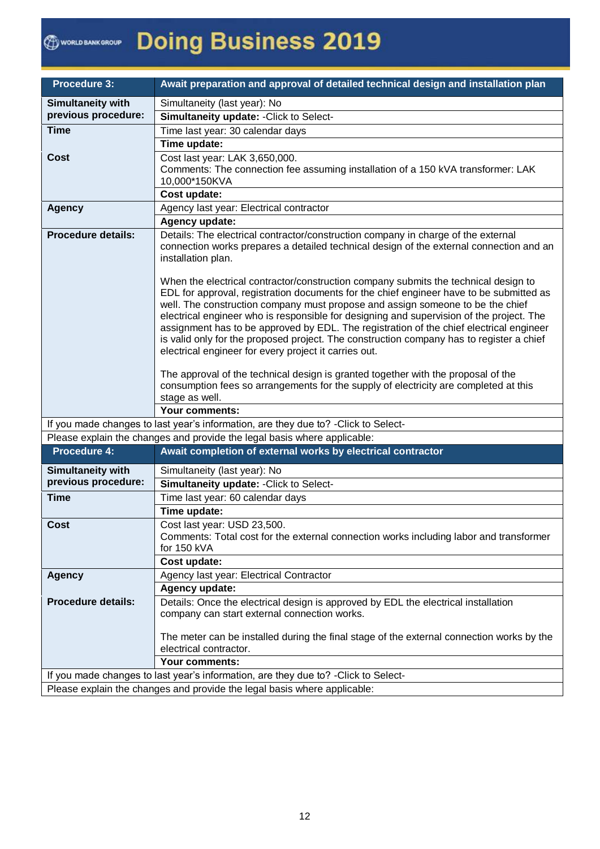| <b>Procedure 3:</b>       | Await preparation and approval of detailed technical design and installation plan                                                                                                                                                                                                                                                                                                                                                                                                                                                                                                                            |  |
|---------------------------|--------------------------------------------------------------------------------------------------------------------------------------------------------------------------------------------------------------------------------------------------------------------------------------------------------------------------------------------------------------------------------------------------------------------------------------------------------------------------------------------------------------------------------------------------------------------------------------------------------------|--|
| <b>Simultaneity with</b>  | Simultaneity (last year): No                                                                                                                                                                                                                                                                                                                                                                                                                                                                                                                                                                                 |  |
| previous procedure:       | Simultaneity update: - Click to Select-                                                                                                                                                                                                                                                                                                                                                                                                                                                                                                                                                                      |  |
| <b>Time</b>               | Time last year: 30 calendar days                                                                                                                                                                                                                                                                                                                                                                                                                                                                                                                                                                             |  |
|                           | Time update:                                                                                                                                                                                                                                                                                                                                                                                                                                                                                                                                                                                                 |  |
| <b>Cost</b>               | Cost last year: LAK 3,650,000.                                                                                                                                                                                                                                                                                                                                                                                                                                                                                                                                                                               |  |
|                           | Comments: The connection fee assuming installation of a 150 kVA transformer: LAK                                                                                                                                                                                                                                                                                                                                                                                                                                                                                                                             |  |
|                           | 10,000*150KVA                                                                                                                                                                                                                                                                                                                                                                                                                                                                                                                                                                                                |  |
|                           | Cost update:                                                                                                                                                                                                                                                                                                                                                                                                                                                                                                                                                                                                 |  |
| <b>Agency</b>             | Agency last year: Electrical contractor                                                                                                                                                                                                                                                                                                                                                                                                                                                                                                                                                                      |  |
|                           | Agency update:                                                                                                                                                                                                                                                                                                                                                                                                                                                                                                                                                                                               |  |
| <b>Procedure details:</b> | Details: The electrical contractor/construction company in charge of the external<br>connection works prepares a detailed technical design of the external connection and an<br>installation plan.                                                                                                                                                                                                                                                                                                                                                                                                           |  |
|                           | When the electrical contractor/construction company submits the technical design to<br>EDL for approval, registration documents for the chief engineer have to be submitted as<br>well. The construction company must propose and assign someone to be the chief<br>electrical engineer who is responsible for designing and supervision of the project. The<br>assignment has to be approved by EDL. The registration of the chief electrical engineer<br>is valid only for the proposed project. The construction company has to register a chief<br>electrical engineer for every project it carries out. |  |
|                           | The approval of the technical design is granted together with the proposal of the<br>consumption fees so arrangements for the supply of electricity are completed at this<br>stage as well.<br>Your comments:                                                                                                                                                                                                                                                                                                                                                                                                |  |
|                           | If you made changes to last year's information, are they due to? - Click to Select-                                                                                                                                                                                                                                                                                                                                                                                                                                                                                                                          |  |
|                           | Please explain the changes and provide the legal basis where applicable:                                                                                                                                                                                                                                                                                                                                                                                                                                                                                                                                     |  |
| <b>Procedure 4:</b>       | Await completion of external works by electrical contractor                                                                                                                                                                                                                                                                                                                                                                                                                                                                                                                                                  |  |
| <b>Simultaneity with</b>  | Simultaneity (last year): No                                                                                                                                                                                                                                                                                                                                                                                                                                                                                                                                                                                 |  |
| previous procedure:       | Simultaneity update: - Click to Select-                                                                                                                                                                                                                                                                                                                                                                                                                                                                                                                                                                      |  |
| <b>Time</b>               | Time last year: 60 calendar days                                                                                                                                                                                                                                                                                                                                                                                                                                                                                                                                                                             |  |
|                           | Time update:                                                                                                                                                                                                                                                                                                                                                                                                                                                                                                                                                                                                 |  |
| Cost                      | Cost last year: USD 23.500.<br>Comments: Total cost for the external connection works including labor and transformer                                                                                                                                                                                                                                                                                                                                                                                                                                                                                        |  |
|                           | for 150 kVA                                                                                                                                                                                                                                                                                                                                                                                                                                                                                                                                                                                                  |  |
|                           | Cost update:                                                                                                                                                                                                                                                                                                                                                                                                                                                                                                                                                                                                 |  |
| <b>Agency</b>             | Agency last year: Electrical Contractor                                                                                                                                                                                                                                                                                                                                                                                                                                                                                                                                                                      |  |
|                           | Agency update:                                                                                                                                                                                                                                                                                                                                                                                                                                                                                                                                                                                               |  |
| <b>Procedure details:</b> | Details: Once the electrical design is approved by EDL the electrical installation<br>company can start external connection works.                                                                                                                                                                                                                                                                                                                                                                                                                                                                           |  |
|                           | The meter can be installed during the final stage of the external connection works by the<br>electrical contractor.                                                                                                                                                                                                                                                                                                                                                                                                                                                                                          |  |
|                           | Your comments:                                                                                                                                                                                                                                                                                                                                                                                                                                                                                                                                                                                               |  |
|                           | If you made changes to last year's information, are they due to? - Click to Select-                                                                                                                                                                                                                                                                                                                                                                                                                                                                                                                          |  |
|                           | Please explain the changes and provide the legal basis where applicable:                                                                                                                                                                                                                                                                                                                                                                                                                                                                                                                                     |  |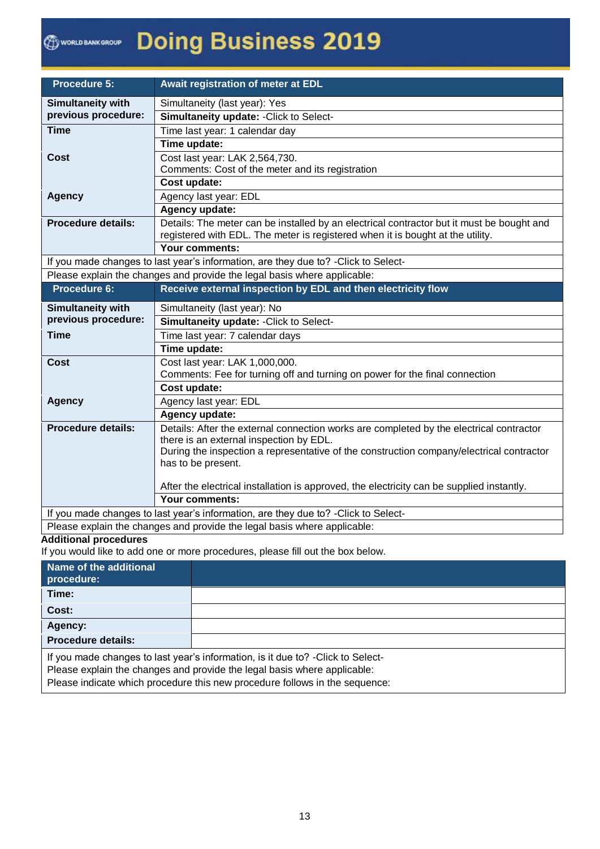| <b>Procedure 5:</b>                                                                                                                                             | Await registration of meter at EDL                                                                                                                                          |  |
|-----------------------------------------------------------------------------------------------------------------------------------------------------------------|-----------------------------------------------------------------------------------------------------------------------------------------------------------------------------|--|
| <b>Simultaneity with</b>                                                                                                                                        | Simultaneity (last year): Yes                                                                                                                                               |  |
| previous procedure:                                                                                                                                             | Simultaneity update: - Click to Select-                                                                                                                                     |  |
| <b>Time</b>                                                                                                                                                     | Time last year: 1 calendar day                                                                                                                                              |  |
|                                                                                                                                                                 | Time update:                                                                                                                                                                |  |
| Cost                                                                                                                                                            | Cost last year: LAK 2,564,730.                                                                                                                                              |  |
|                                                                                                                                                                 | Comments: Cost of the meter and its registration                                                                                                                            |  |
|                                                                                                                                                                 | Cost update:                                                                                                                                                                |  |
| <b>Agency</b>                                                                                                                                                   | Agency last year: EDL                                                                                                                                                       |  |
|                                                                                                                                                                 | Agency update:                                                                                                                                                              |  |
| <b>Procedure details:</b>                                                                                                                                       | Details: The meter can be installed by an electrical contractor but it must be bought and<br>registered with EDL. The meter is registered when it is bought at the utility. |  |
|                                                                                                                                                                 | Your comments:                                                                                                                                                              |  |
|                                                                                                                                                                 |                                                                                                                                                                             |  |
| If you made changes to last year's information, are they due to? - Click to Select-<br>Please explain the changes and provide the legal basis where applicable: |                                                                                                                                                                             |  |
| Procedure 6:                                                                                                                                                    | Receive external inspection by EDL and then electricity flow                                                                                                                |  |
|                                                                                                                                                                 |                                                                                                                                                                             |  |
| <b>Simultaneity with</b>                                                                                                                                        | Simultaneity (last year): No                                                                                                                                                |  |
| previous procedure:                                                                                                                                             | Simultaneity update: - Click to Select-                                                                                                                                     |  |
| <b>Time</b>                                                                                                                                                     | Time last year: 7 calendar days                                                                                                                                             |  |
|                                                                                                                                                                 | Time update:                                                                                                                                                                |  |
| <b>Cost</b>                                                                                                                                                     | Cost last year: LAK 1,000,000.                                                                                                                                              |  |
|                                                                                                                                                                 | Comments: Fee for turning off and turning on power for the final connection                                                                                                 |  |
|                                                                                                                                                                 | Cost update:                                                                                                                                                                |  |
| <b>Agency</b>                                                                                                                                                   | Agency last year: EDL                                                                                                                                                       |  |
|                                                                                                                                                                 | Agency update:                                                                                                                                                              |  |
| <b>Procedure details:</b>                                                                                                                                       | Details: After the external connection works are completed by the electrical contractor                                                                                     |  |
|                                                                                                                                                                 | there is an external inspection by EDL.                                                                                                                                     |  |
|                                                                                                                                                                 | During the inspection a representative of the construction company/electrical contractor<br>has to be present.                                                              |  |
|                                                                                                                                                                 |                                                                                                                                                                             |  |
|                                                                                                                                                                 | After the electrical installation is approved, the electricity can be supplied instantly.                                                                                   |  |
|                                                                                                                                                                 | Your comments:                                                                                                                                                              |  |
| If you made changes to last year's information, are they due to? - Click to Select-                                                                             |                                                                                                                                                                             |  |
|                                                                                                                                                                 | Please explain the changes and provide the legal basis where applicable:                                                                                                    |  |

#### **Additional procedures**

If you would like to add one or more procedures, please fill out the box below.

| Name of the additional<br>procedure:                                                                                                                         |  |  |
|--------------------------------------------------------------------------------------------------------------------------------------------------------------|--|--|
| Time:                                                                                                                                                        |  |  |
| Cost:                                                                                                                                                        |  |  |
| Agency:                                                                                                                                                      |  |  |
| <b>Procedure details:</b>                                                                                                                                    |  |  |
| If you made changes to last year's information, is it due to? - Click to Select-<br>Please explain the changes and provide the legal basis where applicable: |  |  |

Please indicate which procedure this new procedure follows in the sequence: